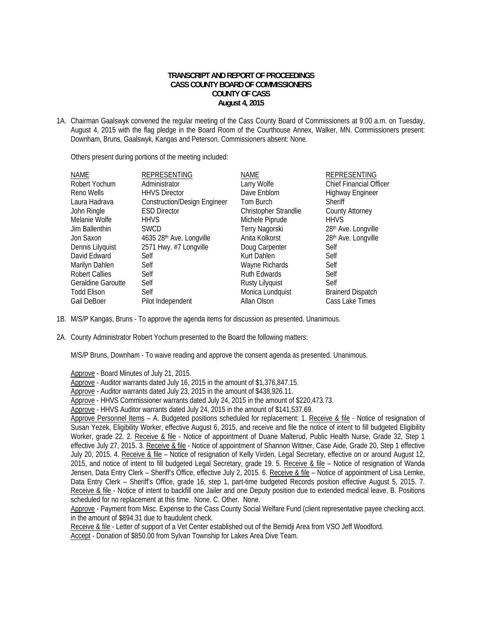## **TRANSCRIPT AND REPORT OF PROCEEDINGS CASS COUNTY BOARD OF COMMISSIONERS COUNTY OF CASS August 4, 2015**

1A. Chairman Gaalswyk convened the regular meeting of the Cass County Board of Commissioners at 9:00 a.m. on Tuesday, August 4, 2015 with the flag pledge in the Board Room of the Courthouse Annex, Walker, MN. Commissioners present: Downham, Bruns, Gaalswyk, Kangas and Peterson. Commissioners absent: None.

Others present during portions of the meeting included:

| NAME               | <b>REPRESENTING</b>                 | <b>NAME</b>            | <b>REPRESENTING</b>      |
|--------------------|-------------------------------------|------------------------|--------------------------|
| Robert Yochum      | Administrator                       | Larry Wolfe            | Chief Financial Officer  |
| Reno Wells         | <b>HHVS Director</b>                | Dave Enblom            | <b>Highway Engineer</b>  |
| Laura Hadrava      | <b>Construction/Design Engineer</b> | Tom Burch              | <b>Sheriff</b>           |
| John Ringle        | <b>ESD Director</b>                 | Christopher Strandlie  | <b>County Attorney</b>   |
| Melanie Wolfe      | <b>HHVS</b>                         | Michele Piprude        | <b>HHVS</b>              |
| Jim Ballenthin     | <b>SWCD</b>                         | Terry Nagorski         | 28th Ave. Longville      |
| Jon Saxon          | 4635 28th Ave. Longville            | Anita Kolkorst         | 28th Ave. Longville      |
| Dennis Lilyquist   | 2571 Hwy. #7 Longville              | Doug Carpenter         | Self                     |
| David Edward       | Self                                | Kurt Dahlen            | Self                     |
| Marilyn Dahlen     | Self                                | Wayne Richards         | Self                     |
| Robert Callies     | Self                                | <b>Ruth Edwards</b>    | Self                     |
| Geraldine Garoutte | Self                                | <b>Rusty Lilyquist</b> | Self                     |
| <b>Todd Elison</b> | Self                                | Monica Lundquist       | <b>Brainerd Dispatch</b> |
| Gail DeBoer        | Pilot Independent                   | Allan Olson            | Cass Lake Times          |
|                    |                                     |                        |                          |

1B. M/S/P Kangas, Bruns - To approve the agenda items for discussion as presented. Unanimous.

2A. County Administrator Robert Yochum presented to the Board the following matters:

M/S/P Bruns, Downham - To waive reading and approve the consent agenda as presented. Unanimous.

Approve - Board Minutes of July 21, 2015.

Approve - Auditor warrants dated July 16, 2015 in the amount of \$1,376,847.15.

Approve - Auditor warrants dated July 23, 2015 in the amount of \$438,926.11.

Approve - HHVS Commissioner warrants dated July 24, 2015 in the amount of \$220,473.73.

Approve - HHVS Auditor warrants dated July 24, 2015 in the amount of \$141,537.69.

Approve Personnel Items – A. Budgeted positions scheduled for replacement: 1. Receive & file - Notice of resignation of Susan Yezek, Eligibility Worker, effective August 6, 2015, and receive and file the notice of intent to fill budgeted Eligibility Worker, grade 22. 2. Receive & file - Notice of appointment of Duane Malterud, Public Health Nurse, Grade 32, Step 1 effective July 27, 2015. 3. Receive & file - Notice of appointment of Shannon Wittner, Case Aide, Grade 20, Step 1 effective July 20, 2015. 4. Receive & file – Notice of resignation of Kelly Virden, Legal Secretary, effective on or around August 12, 2015, and notice of intent to fill budgeted Legal Secretary, grade 19. 5. Receive & file – Notice of resignation of Wanda Jensen, Data Entry Clerk – Sheriff's Office, effective July 2, 2015. 6. Receive & file – Notice of appointment of Lisa Lemke, Data Entry Clerk – Sheriff's Office, grade 16, step 1, part-time budgeted Records position effective August 5, 2015. 7. Receive & file - Notice of intent to backfill one Jailer and one Deputy position due to extended medical leave. B. Positions scheduled for no replacement at this time. None. C. Other. None.

 Approve - Payment from Misc. Expense to the Cass County Social Welfare Fund (client representative payee checking acct. in the amount of \$894.31 due to fraudulent check.

Receive & file - Letter of support of a Vet Center established out of the Bemidji Area from VSO Jeff Woodford.

Accept - Donation of \$850.00 from Sylvan Township for Lakes Area Dive Team.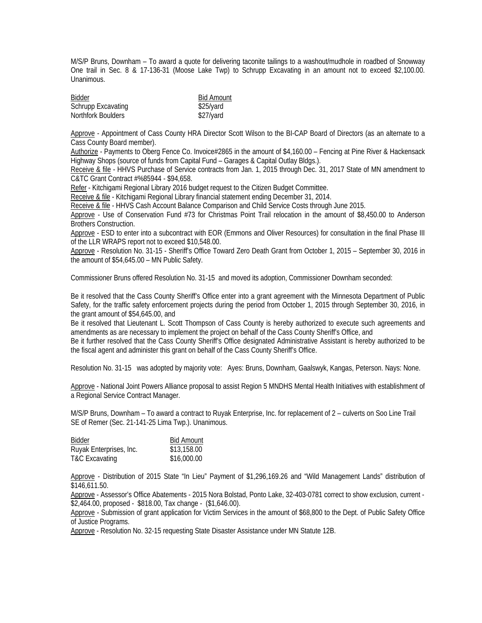M/S/P Bruns, Downham – To award a quote for delivering taconite tailings to a washout/mudhole in roadbed of Snowway One trail in Sec. 8 & 17-136-31 (Moose Lake Twp) to Schrupp Excavating in an amount not to exceed \$2,100.00. Unanimous.

| <b>Bidder</b>      | <b>Bid Amount</b> |
|--------------------|-------------------|
| Schrupp Excavating | \$25/yard         |
| Northfork Boulders | \$27/yard         |

Approve - Appointment of Cass County HRA Director Scott Wilson to the BI-CAP Board of Directors (as an alternate to a Cass County Board member).

Authorize - Payments to Oberg Fence Co. Invoice#2865 in the amount of \$4,160.00 – Fencing at Pine River & Hackensack Highway Shops (source of funds from Capital Fund – Garages & Capital Outlay Bldgs.).

Receive & file - HHVS Purchase of Service contracts from Jan. 1, 2015 through Dec. 31, 2017 State of MN amendment to C&TC Grant Contract #%85944 - \$94,658.

Refer - Kitchigami Regional Library 2016 budget request to the Citizen Budget Committee.

Receive & file - Kitchigami Regional Library financial statement ending December 31, 2014.

Receive & file - HHVS Cash Account Balance Comparison and Child Service Costs through June 2015.

 Approve - Use of Conservation Fund #73 for Christmas Point Trail relocation in the amount of \$8,450.00 to Anderson Brothers Construction.

Approve - ESD to enter into a subcontract with EOR (Emmons and Oliver Resources) for consultation in the final Phase III of the LLR WRAPS report not to exceed \$10,548.00.

 Approve - Resolution No. 31-15 - Sheriff's Office Toward Zero Death Grant from October 1, 2015 – September 30, 2016 in the amount of \$54,645.00 – MN Public Safety.

Commissioner Bruns offered Resolution No. 31-15 and moved its adoption, Commissioner Downham seconded:

Be it resolved that the Cass County Sheriff's Office enter into a grant agreement with the Minnesota Department of Public Safety, for the traffic safety enforcement projects during the period from October 1, 2015 through September 30, 2016, in the grant amount of \$54,645.00, and

Be it resolved that Lieutenant L. Scott Thompson of Cass County is hereby authorized to execute such agreements and amendments as are necessary to implement the project on behalf of the Cass County Sheriff's Office, and

Be it further resolved that the Cass County Sheriff's Office designated Administrative Assistant is hereby authorized to be the fiscal agent and administer this grant on behalf of the Cass County Sheriff's Office.

Resolution No. 31-15 was adopted by majority vote: Ayes: Bruns, Downham, Gaalswyk, Kangas, Peterson. Nays: None.

 Approve - National Joint Powers Alliance proposal to assist Region 5 MNDHS Mental Health Initiatives with establishment of a Regional Service Contract Manager.

M/S/P Bruns, Downham – To award a contract to Ruyak Enterprise, Inc. for replacement of 2 – culverts on Soo Line Trail SE of Remer (Sec. 21-141-25 Lima Twp.). Unanimous.

| Bidder                    | <b>Bid Amount</b> |
|---------------------------|-------------------|
| Ruyak Enterprises, Inc.   | \$13,158.00       |
| <b>T&amp;C Excavating</b> | \$16,000.00       |

 Approve - Distribution of 2015 State "In Lieu" Payment of \$1,296,169.26 and "Wild Management Lands" distribution of \$146,611.50.

Approve - Assessor's Office Abatements - 2015 Nora Bolstad, Ponto Lake, 32-403-0781 correct to show exclusion, current - \$2,464.00, proposed - \$818.00, Tax change - (\$1,646.00).

Approve - Submission of grant application for Victim Services in the amount of \$68,800 to the Dept. of Public Safety Office of Justice Programs.

Approve - Resolution No. 32-15 requesting State Disaster Assistance under MN Statute 12B.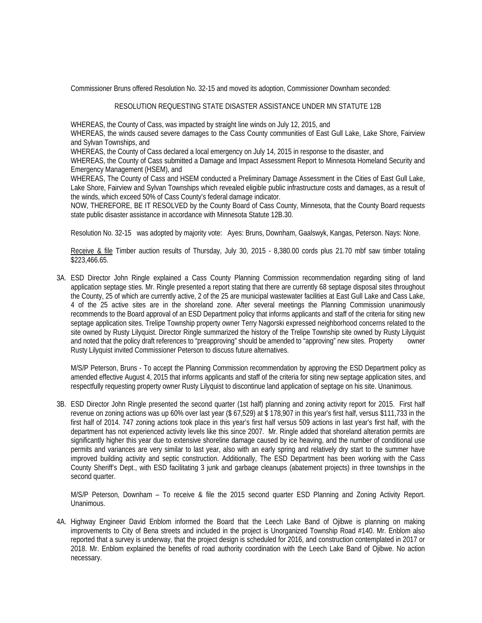Commissioner Bruns offered Resolution No. 32-15 and moved its adoption, Commissioner Downham seconded:

## RESOLUTION REQUESTING STATE DISASTER ASSISTANCE UNDER MN STATUTE 12B

WHEREAS, the County of Cass, was impacted by straight line winds on July 12, 2015, and

WHEREAS, the winds caused severe damages to the Cass County communities of East Gull Lake, Lake Shore, Fairview and Sylvan Townships, and

WHEREAS, the County of Cass declared a local emergency on July 14, 2015 in response to the disaster, and

WHEREAS, the County of Cass submitted a Damage and Impact Assessment Report to Minnesota Homeland Security and Emergency Management (HSEM), and

WHEREAS, The County of Cass and HSEM conducted a Preliminary Damage Assessment in the Cities of East Gull Lake, Lake Shore, Fairview and Sylvan Townships which revealed eligible public infrastructure costs and damages, as a result of the winds, which exceed 50% of Cass County's federal damage indicator.

NOW, THEREFORE, BE IT RESOLVED by the County Board of Cass County, Minnesota, that the County Board requests state public disaster assistance in accordance with Minnesota Statute 12B.30.

Resolution No. 32-15 was adopted by majority vote: Ayes: Bruns, Downham, Gaalswyk, Kangas, Peterson. Nays: None.

Receive & file Timber auction results of Thursday, July 30, 2015 - 8,380.00 cords plus 21.70 mbf saw timber totaling \$223,466.65.

3A. ESD Director John Ringle explained a Cass County Planning Commission recommendation regarding siting of land application septage sties. Mr. Ringle presented a report stating that there are currently 68 septage disposal sites throughout the County, 25 of which are currently active, 2 of the 25 are municipal wastewater facilities at East Gull Lake and Cass Lake, 4 of the 25 active sites are in the shoreland zone. After several meetings the Planning Commission unanimously recommends to the Board approval of an ESD Department policy that informs applicants and staff of the criteria for siting new septage application sites. Trelipe Township property owner Terry Nagorski expressed neighborhood concerns related to the site owned by Rusty Lilyquist. Director Ringle summarized the history of the Trelipe Township site owned by Rusty Lilyquist and noted that the policy draft references to "preapproving" should be amended to "approving" new sites. Property owner Rusty Lilyquist invited Commissioner Peterson to discuss future alternatives.

M/S/P Peterson, Bruns - To accept the Planning Commission recommendation by approving the ESD Department policy as amended effective August 4, 2015 that informs applicants and staff of the criteria for siting new septage application sites, and respectfully requesting property owner Rusty Lilyquist to discontinue land application of septage on his site. Unanimous.

3B. ESD Director John Ringle presented the second quarter (1st half) planning and zoning activity report for 2015. First half revenue on zoning actions was up 60% over last year (\$ 67,529) at \$ 178,907 in this year's first half, versus \$111,733 in the first half of 2014. 747 zoning actions took place in this year's first half versus 509 actions in last year's first half, with the department has not experienced activity levels like this since 2007. Mr. Ringle added that shoreland alteration permits are significantly higher this year due to extensive shoreline damage caused by ice heaving, and the number of conditional use permits and variances are very similar to last year, also with an early spring and relatively dry start to the summer have improved building activity and septic construction. Additionally, The ESD Department has been working with the Cass County Sheriff's Dept., with ESD facilitating 3 junk and garbage cleanups (abatement projects) in three townships in the second quarter.

 M/S/P Peterson, Downham – To receive & file the 2015 second quarter ESD Planning and Zoning Activity Report. Unanimous.

4A. Highway Engineer David Enblom informed the Board that the Leech Lake Band of Ojibwe is planning on making improvements to City of Bena streets and included in the project is Unorganized Township Road #140. Mr. Enblom also reported that a survey is underway, that the project design is scheduled for 2016, and construction contemplated in 2017 or 2018. Mr. Enblom explained the benefits of road authority coordination with the Leech Lake Band of Ojibwe. No action necessary.